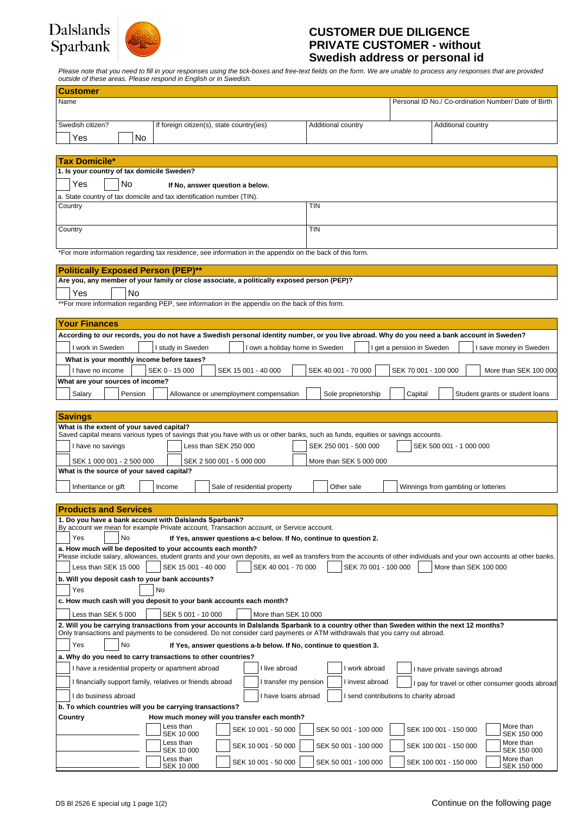# Dalslands Sparbank



### **CUSTOMER DUE DILIGENCE PRIVATE CUSTOMER - without Swedish address or personal id**

Please note that you need to fill in your responses using the tick-boxes and free-text fields on the form. We are unable to process any responses that are provided<br>outside of these areas. Please respond in English or in Sw

| odiside or these dreas. I lease respond in Lighsh or in Owedish.                                                                                                                                                                                                                                  |                                                                           |  |  |  |  |
|---------------------------------------------------------------------------------------------------------------------------------------------------------------------------------------------------------------------------------------------------------------------------------------------------|---------------------------------------------------------------------------|--|--|--|--|
| <b>Customer</b>                                                                                                                                                                                                                                                                                   |                                                                           |  |  |  |  |
| Name                                                                                                                                                                                                                                                                                              | Personal ID No./ Co-ordination Number/ Date of Birth                      |  |  |  |  |
|                                                                                                                                                                                                                                                                                                   |                                                                           |  |  |  |  |
| Swedish citizen?<br>If foreign citizen(s), state country(ies)                                                                                                                                                                                                                                     | Additional country<br>Additional country                                  |  |  |  |  |
| Yes<br>No                                                                                                                                                                                                                                                                                         |                                                                           |  |  |  |  |
|                                                                                                                                                                                                                                                                                                   |                                                                           |  |  |  |  |
| <b>Tax Domicile*</b>                                                                                                                                                                                                                                                                              |                                                                           |  |  |  |  |
| 1. Is your country of tax domicile Sweden?                                                                                                                                                                                                                                                        |                                                                           |  |  |  |  |
| Yes<br>No.<br>If No, answer question a below.                                                                                                                                                                                                                                                     |                                                                           |  |  |  |  |
| a. State country of tax domicile and tax identification number (TIN).                                                                                                                                                                                                                             |                                                                           |  |  |  |  |
| Country                                                                                                                                                                                                                                                                                           | <b>TIN</b>                                                                |  |  |  |  |
|                                                                                                                                                                                                                                                                                                   |                                                                           |  |  |  |  |
| Country                                                                                                                                                                                                                                                                                           | <b>TIN</b>                                                                |  |  |  |  |
|                                                                                                                                                                                                                                                                                                   |                                                                           |  |  |  |  |
| *For more information regarding tax residence, see information in the appendix on the back of this form.                                                                                                                                                                                          |                                                                           |  |  |  |  |
|                                                                                                                                                                                                                                                                                                   |                                                                           |  |  |  |  |
| <b>Politically Exposed Person (PEP)**</b>                                                                                                                                                                                                                                                         |                                                                           |  |  |  |  |
| Are you, any member of your family or close associate, a politically exposed person (PEP)?                                                                                                                                                                                                        |                                                                           |  |  |  |  |
| Yes<br><b>No</b>                                                                                                                                                                                                                                                                                  |                                                                           |  |  |  |  |
| **For more information regarding PEP, see information in the appendix on the back of this form.                                                                                                                                                                                                   |                                                                           |  |  |  |  |
|                                                                                                                                                                                                                                                                                                   |                                                                           |  |  |  |  |
| <b>Your Finances</b>                                                                                                                                                                                                                                                                              |                                                                           |  |  |  |  |
| According to our records, you do not have a Swedish personal identity number, or you live abroad. Why do you need a bank account in Sweden?                                                                                                                                                       |                                                                           |  |  |  |  |
| I work in Sweden<br>I own a holiday home in Sweden<br>I study in Sweden                                                                                                                                                                                                                           | I get a pension in Sweden<br>I save money in Sweden                       |  |  |  |  |
| What is your monthly income before taxes?                                                                                                                                                                                                                                                         |                                                                           |  |  |  |  |
| SEK 0 - 15 000<br>I have no income<br>SEK 15 001 - 40 000                                                                                                                                                                                                                                         | SEK 40 001 - 70 000<br>SEK 70 001 - 100 000<br>More than SEK 100 000      |  |  |  |  |
| What are your sources of income?                                                                                                                                                                                                                                                                  |                                                                           |  |  |  |  |
| Salary<br>Pension<br>Allowance or unemployment compensation                                                                                                                                                                                                                                       | Sole proprietorship<br>Capital<br>Student grants or student loans         |  |  |  |  |
|                                                                                                                                                                                                                                                                                                   |                                                                           |  |  |  |  |
| <b>Savings</b>                                                                                                                                                                                                                                                                                    |                                                                           |  |  |  |  |
| What is the extent of your saved capital?                                                                                                                                                                                                                                                         |                                                                           |  |  |  |  |
| Saved capital means various types of savings that you have with us or other banks, such as funds, equities or savings accounts.                                                                                                                                                                   |                                                                           |  |  |  |  |
| I have no savings<br>Less than SEK 250 000                                                                                                                                                                                                                                                        | SEK 250 001 - 500 000<br>SEK 500 001 - 1 000 000                          |  |  |  |  |
| SEK 1 000 001 - 2 500 000<br>SEK 2 500 001 - 5 000 000                                                                                                                                                                                                                                            | More than SEK 5 000 000                                                   |  |  |  |  |
| What is the source of your saved capital?                                                                                                                                                                                                                                                         |                                                                           |  |  |  |  |
| Inheritance or gift<br>Sale of residential property<br>Income                                                                                                                                                                                                                                     | Other sale<br>Winnings from gambling or lotteries                         |  |  |  |  |
|                                                                                                                                                                                                                                                                                                   |                                                                           |  |  |  |  |
| <b>Products and Services</b>                                                                                                                                                                                                                                                                      |                                                                           |  |  |  |  |
| 1. Do you have a bank account with Dalslands Sparbank?                                                                                                                                                                                                                                            |                                                                           |  |  |  |  |
| By account we mean for example Private account, Transaction account, or Service account.                                                                                                                                                                                                          |                                                                           |  |  |  |  |
| No<br>If Yes, answer questions a-c below. If No, continue to question 2.<br>Yes                                                                                                                                                                                                                   |                                                                           |  |  |  |  |
| a. How much will be deposited to your accounts each month?                                                                                                                                                                                                                                        |                                                                           |  |  |  |  |
| Please include salary, allowances, student grants and your own deposits, as well as transfers from the accounts of other individuals and your own accounts at other banks.<br>Less than SEK 15 000<br>SEK 15 001 - 40 000<br>SEK 40 001 - 70 000<br>SEK 70 001 - 100 000<br>More than SEK 100 000 |                                                                           |  |  |  |  |
| b. Will you deposit cash to your bank accounts?                                                                                                                                                                                                                                                   |                                                                           |  |  |  |  |
|                                                                                                                                                                                                                                                                                                   |                                                                           |  |  |  |  |
| Yes<br>No                                                                                                                                                                                                                                                                                         |                                                                           |  |  |  |  |
| c. How much cash will you deposit to your bank accounts each month?                                                                                                                                                                                                                               |                                                                           |  |  |  |  |
| Less than SEK 5 000<br>SEK 5 001 - 10 000<br>More than SEK 10 000                                                                                                                                                                                                                                 |                                                                           |  |  |  |  |
| 2. Will you be carrying transactions from your accounts in Dalslands Sparbank to a country other than Sweden within the next 12 months?<br>Only transactions and payments to be considered. Do not consider card payments or ATM withdrawals that you carry out abroad.                           |                                                                           |  |  |  |  |
| Yes<br>No<br>If Yes, answer questions a-b below. If No, continue to question 3.                                                                                                                                                                                                                   |                                                                           |  |  |  |  |
| a. Why do you need to carry transactions to other countries?                                                                                                                                                                                                                                      |                                                                           |  |  |  |  |
| I live abroad<br>I work abroad<br>I have a residential property or apartment abroad                                                                                                                                                                                                               |                                                                           |  |  |  |  |
| I have private savings abroad                                                                                                                                                                                                                                                                     |                                                                           |  |  |  |  |
| I financially support family, relatives or friends abroad<br>I transfer my pension<br>I invest abroad<br>I pay for travel or other consumer goods abroad                                                                                                                                          |                                                                           |  |  |  |  |
| I send contributions to charity abroad<br>I do business abroad<br>I have loans abroad                                                                                                                                                                                                             |                                                                           |  |  |  |  |
| b. To which countries will you be carrying transactions?                                                                                                                                                                                                                                          |                                                                           |  |  |  |  |
| Country<br>How much money will you transfer each month?                                                                                                                                                                                                                                           |                                                                           |  |  |  |  |
| Less than<br>SEK 10 001 - 50 000<br>SEK 10 000                                                                                                                                                                                                                                                    | More than<br>SEK 50 001 - 100 000<br>SEK 100 001 - 150 000<br>SEK 150 000 |  |  |  |  |
| Less than                                                                                                                                                                                                                                                                                         | More than                                                                 |  |  |  |  |
| SEK 10 001 - 50 000<br>SEK 10 000                                                                                                                                                                                                                                                                 | SEK 50 001 - 100 000<br>SEK 100 001 - 150 000<br>SEK 150 000              |  |  |  |  |
| Less than<br>SEK 10 001 - 50 000                                                                                                                                                                                                                                                                  | More than<br>SEK 50 001 - 100 000<br>SEK 100 001 - 150 000<br>SEK 150 000 |  |  |  |  |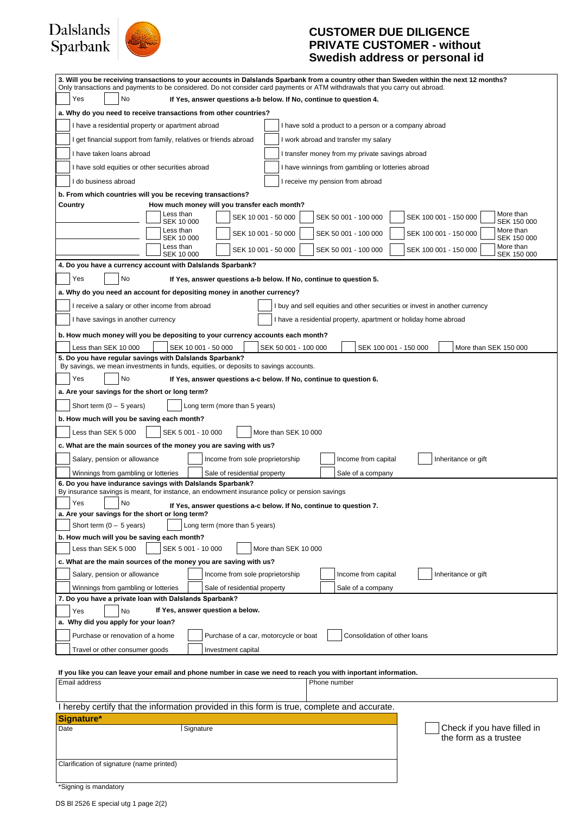# Dalslands<br>Sparbank



## **CUSTOMER DUE DILIGENCE PRIVATE CUSTOMER - without Swedish address or personal id**

| 3. Will you be receiving transactions to your accounts in Dalslands Sparbank from a country other than Sweden within the next 12 months?<br>Only transactions and payments to be considered. Do not consider card payments or ATM withdrawals that you carry out abroad. |                         |                                                                    |                                                      |                                                                 |                                                                            |  |
|--------------------------------------------------------------------------------------------------------------------------------------------------------------------------------------------------------------------------------------------------------------------------|-------------------------|--------------------------------------------------------------------|------------------------------------------------------|-----------------------------------------------------------------|----------------------------------------------------------------------------|--|
| Yes<br>No<br>If Yes, answer questions a-b below. If No, continue to question 4.                                                                                                                                                                                          |                         |                                                                    |                                                      |                                                                 |                                                                            |  |
| a. Why do you need to receive transactions from other countries?                                                                                                                                                                                                         |                         |                                                                    |                                                      |                                                                 |                                                                            |  |
| I have a residential property or apartment abroad<br>I have sold a product to a person or a company abroad                                                                                                                                                               |                         |                                                                    |                                                      |                                                                 |                                                                            |  |
| I get financial support from family, relatives or friends abroad<br>I work abroad and transfer my salary                                                                                                                                                                 |                         |                                                                    |                                                      |                                                                 |                                                                            |  |
| I have taken loans abroad                                                                                                                                                                                                                                                |                         |                                                                    |                                                      | I transfer money from my private savings abroad                 |                                                                            |  |
| I have sold equities or other securities abroad                                                                                                                                                                                                                          |                         |                                                                    |                                                      | I have winnings from gambling or lotteries abroad               |                                                                            |  |
| I do business abroad                                                                                                                                                                                                                                                     |                         |                                                                    |                                                      | I receive my pension from abroad                                |                                                                            |  |
| b. From which countries will you be receving transactions?                                                                                                                                                                                                               |                         |                                                                    |                                                      |                                                                 |                                                                            |  |
| Country                                                                                                                                                                                                                                                                  |                         | How much money will you transfer each month?                       |                                                      |                                                                 |                                                                            |  |
|                                                                                                                                                                                                                                                                          | Less than<br>SEK 10 000 |                                                                    | SEK 10 001 - 50 000                                  | SEK 50 001 - 100 000                                            | More than<br>SEK 100 001 - 150 000<br>SEK 150 000                          |  |
|                                                                                                                                                                                                                                                                          | Less than<br>SEK 10 000 |                                                                    | SEK 10 001 - 50 000                                  | SEK 50 001 - 100 000                                            | More than<br>SEK 100 001 - 150 000<br>SEK 150 000                          |  |
|                                                                                                                                                                                                                                                                          | Less than               |                                                                    | SEK 10 001 - 50 000                                  | SEK 50 001 - 100 000                                            | More than<br>SEK 100 001 - 150 000                                         |  |
|                                                                                                                                                                                                                                                                          | SEK 10 000              |                                                                    |                                                      |                                                                 | SEK 150 000                                                                |  |
| 4. Do you have a currency account with Dalslands Sparbank?<br>Yes<br>No                                                                                                                                                                                                  |                         |                                                                    |                                                      |                                                                 |                                                                            |  |
| a. Why do you need an account for depositing money in another currency?                                                                                                                                                                                                  |                         | If Yes, answer questions a-b below. If No, continue to question 5. |                                                      |                                                                 |                                                                            |  |
| I receive a salary or other income from abroad                                                                                                                                                                                                                           |                         |                                                                    |                                                      |                                                                 |                                                                            |  |
|                                                                                                                                                                                                                                                                          |                         |                                                                    |                                                      |                                                                 | I buy and sell equities and other securities or invest in another currency |  |
| I have savings in another currency                                                                                                                                                                                                                                       |                         |                                                                    |                                                      | I have a residential property, apartment or holiday home abroad |                                                                            |  |
| b. How much money will you be depositing to your currency accounts each month?                                                                                                                                                                                           |                         |                                                                    |                                                      |                                                                 |                                                                            |  |
| Less than SEK 10 000<br>5. Do you have regular savings with Dalslands Sparbank?                                                                                                                                                                                          |                         | SEK 10 001 - 50 000                                                | SEK 50 001 - 100 000                                 | SEK 100 001 - 150 000                                           | More than SEK 150 000                                                      |  |
| By savings, we mean investments in funds, equities, or deposits to savings accounts.                                                                                                                                                                                     |                         |                                                                    |                                                      |                                                                 |                                                                            |  |
| Yes<br>No                                                                                                                                                                                                                                                                |                         | If Yes, answer questions a-c below. If No, continue to question 6. |                                                      |                                                                 |                                                                            |  |
| a. Are your savings for the short or long term?                                                                                                                                                                                                                          |                         |                                                                    |                                                      |                                                                 |                                                                            |  |
| Short term $(0 - 5$ years)                                                                                                                                                                                                                                               |                         | Long term (more than 5 years)                                      |                                                      |                                                                 |                                                                            |  |
| b. How much will you be saving each month?                                                                                                                                                                                                                               |                         |                                                                    |                                                      |                                                                 |                                                                            |  |
| Less than SEK 5 000                                                                                                                                                                                                                                                      |                         | SEK 5 001 - 10 000                                                 | More than SEK 10 000                                 |                                                                 |                                                                            |  |
| c. What are the main sources of the money you are saving with us?                                                                                                                                                                                                        |                         |                                                                    |                                                      |                                                                 |                                                                            |  |
| Salary, pension or allowance                                                                                                                                                                                                                                             |                         | Income from sole proprietorship                                    |                                                      | Income from capital                                             | Inheritance or gift                                                        |  |
| Winnings from gambling or lotteries                                                                                                                                                                                                                                      |                         | Sale of residential property                                       |                                                      | Sale of a company                                               |                                                                            |  |
| 6. Do you have indurance savings with Dalslands Sparbank?<br>By insurance savings is meant, for instance, an endowment insurance policy or pension savings                                                                                                               |                         |                                                                    |                                                      |                                                                 |                                                                            |  |
| Yes<br>No                                                                                                                                                                                                                                                                |                         | If Yes, answer questions a-c below. If No, continue to question 7. |                                                      |                                                                 |                                                                            |  |
| a. Are your savings for the short or long term?                                                                                                                                                                                                                          |                         |                                                                    |                                                      |                                                                 |                                                                            |  |
| Short term $(0 - 5$ years)                                                                                                                                                                                                                                               |                         | Long term (more than 5 years)                                      |                                                      |                                                                 |                                                                            |  |
| b. How much will you be saving each month?<br>Less than SEK 5 000                                                                                                                                                                                                        |                         |                                                                    | More than SEK 10 000                                 |                                                                 |                                                                            |  |
| SEK 5 001 - 10 000<br>c. What are the main sources of the money you are saving with us?                                                                                                                                                                                  |                         |                                                                    |                                                      |                                                                 |                                                                            |  |
| Salary, pension or allowance                                                                                                                                                                                                                                             |                         | Income from sole proprietorship                                    |                                                      | Income from capital                                             | Inheritance or gift                                                        |  |
| Winnings from gambling or lotteries                                                                                                                                                                                                                                      |                         | Sale of residential property                                       |                                                      | Sale of a company                                               |                                                                            |  |
| 7. Do you have a private loan with Dalslands Sparbank?                                                                                                                                                                                                                   |                         |                                                                    |                                                      |                                                                 |                                                                            |  |
| If Yes, answer question a below.<br>No<br>Yes                                                                                                                                                                                                                            |                         |                                                                    |                                                      |                                                                 |                                                                            |  |
| a. Why did you apply for your loan?                                                                                                                                                                                                                                      |                         |                                                                    |                                                      |                                                                 |                                                                            |  |
| Purchase or renovation of a home                                                                                                                                                                                                                                         |                         |                                                                    | Purchase of a car, motorcycle or boat                | Consolidation of other loans                                    |                                                                            |  |
| Travel or other consumer goods                                                                                                                                                                                                                                           |                         | Investment capital                                                 |                                                      |                                                                 |                                                                            |  |
|                                                                                                                                                                                                                                                                          |                         |                                                                    |                                                      |                                                                 |                                                                            |  |
| If you like you can leave your email and phone number in case we need to reach you with inportant information.<br>Email address                                                                                                                                          |                         |                                                                    |                                                      | Phone number                                                    |                                                                            |  |
|                                                                                                                                                                                                                                                                          |                         |                                                                    |                                                      |                                                                 |                                                                            |  |
| I hereby certify that the information provided in this form is true, complete and accurate.                                                                                                                                                                              |                         |                                                                    |                                                      |                                                                 |                                                                            |  |
| Signature*                                                                                                                                                                                                                                                               |                         |                                                                    |                                                      |                                                                 |                                                                            |  |
| Signature<br>Date                                                                                                                                                                                                                                                        |                         |                                                                    | Check if you have filled in<br>the form as a trustee |                                                                 |                                                                            |  |
|                                                                                                                                                                                                                                                                          |                         |                                                                    |                                                      |                                                                 |                                                                            |  |
| Clarification of signature (name printed)                                                                                                                                                                                                                                |                         |                                                                    |                                                      |                                                                 |                                                                            |  |
|                                                                                                                                                                                                                                                                          |                         |                                                                    |                                                      |                                                                 |                                                                            |  |
|                                                                                                                                                                                                                                                                          |                         |                                                                    |                                                      |                                                                 |                                                                            |  |

<sup>\*</sup>Signing is mandatory